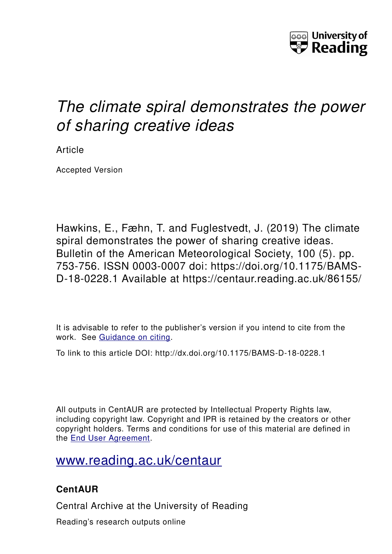

# *The climate spiral demonstrates the power of sharing creative ideas*

Article

Accepted Version

Hawkins, E., Fæhn, T. and Fuglestvedt, J. (2019) The climate spiral demonstrates the power of sharing creative ideas. Bulletin of the American Meteorological Society, 100 (5). pp. 753-756. ISSN 0003-0007 doi: https://doi.org/10.1175/BAMS-D-18-0228.1 Available at https://centaur.reading.ac.uk/86155/

It is advisable to refer to the publisher's version if you intend to cite from the work. See [Guidance on citing.](http://centaur.reading.ac.uk/71187/10/CentAUR%20citing%20guide.pdf)

To link to this article DOI: http://dx.doi.org/10.1175/BAMS-D-18-0228.1

All outputs in CentAUR are protected by Intellectual Property Rights law, including copyright law. Copyright and IPR is retained by the creators or other copyright holders. Terms and conditions for use of this material are defined in the [End User Agreement.](http://centaur.reading.ac.uk/licence)

[www.reading.ac.uk/centaur](http://www.reading.ac.uk/centaur)

## **CentAUR**

Central Archive at the University of Reading

Reading's research outputs online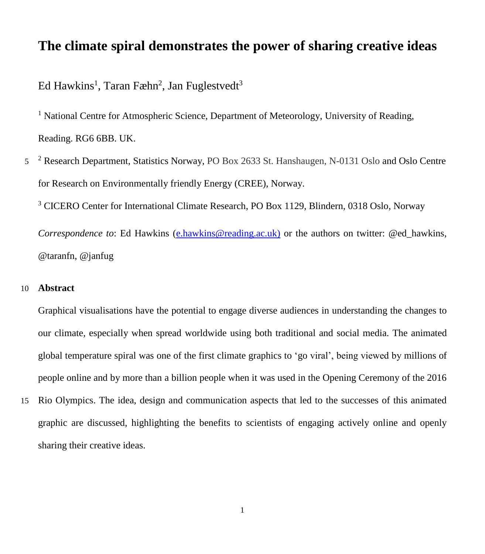## **The climate spiral demonstrates the power of sharing creative ideas**

### Ed Hawkins<sup>1</sup>, Taran Fæhn<sup>2</sup>, Jan Fuglestvedt<sup>3</sup>

<sup>1</sup> National Centre for Atmospheric Science, Department of Meteorology, University of Reading, Reading. RG6 6BB. UK.

<sup>2</sup> Research Department, Statistics Norway, PO Box 2633 St. Hanshaugen, N-0131 Oslo and Oslo Centre for Research on Environmentally friendly Energy (CREE), Norway.

<sup>3</sup> CICERO Center for International Climate Research, PO Box 1129, Blindern, 0318 Oslo, Norway

*Correspondence to*: Ed Hawkins [\(e.hawkins@reading.ac.uk\)](mailto:e.hawkins@reading.ac.uk) or the authors on twitter: @ed hawkins, @taranfn, @janfug

#### 10 **Abstract**

Graphical visualisations have the potential to engage diverse audiences in understanding the changes to our climate, especially when spread worldwide using both traditional and social media. The animated global temperature spiral was one of the first climate graphics to 'go viral', being viewed by millions of people online and by more than a billion people when it was used in the Opening Ceremony of the 2016

15 Rio Olympics. The idea, design and communication aspects that led to the successes of this animated graphic are discussed, highlighting the benefits to scientists of engaging actively online and openly sharing their creative ideas.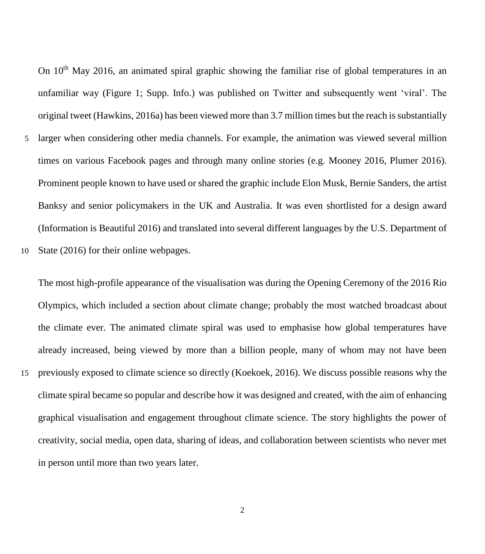On 10<sup>th</sup> May 2016, an animated spiral graphic showing the familiar rise of global temperatures in an unfamiliar way (Figure 1; Supp. Info.) was published on Twitter and subsequently went 'viral'. The original tweet (Hawkins, 2016a) has been viewed more than 3.7 million times but the reach issubstantially

- 5 larger when considering other media channels. For example, the animation was viewed several million times on various Facebook pages and through many online stories (e.g. Mooney 2016, Plumer 2016). Prominent people known to have used or shared the graphic include Elon Musk, Bernie Sanders, the artist Banksy and senior policymakers in the UK and Australia. It was even shortlisted for a design award (Information is Beautiful 2016) and translated into several different languages by the U.S. Department of
- 10 State (2016) for their online webpages.

The most high-profile appearance of the visualisation was during the Opening Ceremony of the 2016 Rio Olympics, which included a section about climate change; probably the most watched broadcast about the climate ever. The animated climate spiral was used to emphasise how global temperatures have already increased, being viewed by more than a billion people, many of whom may not have been

15 previously exposed to climate science so directly (Koekoek, 2016). We discuss possible reasons why the climate spiral became so popular and describe how it was designed and created, with the aim of enhancing graphical visualisation and engagement throughout climate science. The story highlights the power of creativity, social media, open data, sharing of ideas, and collaboration between scientists who never met in person until more than two years later.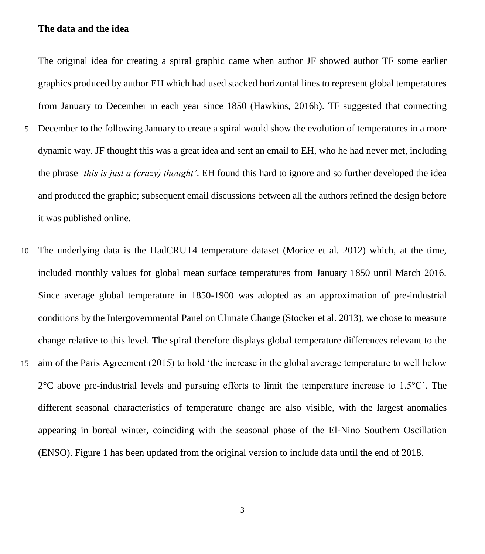#### **The data and the idea**

The original idea for creating a spiral graphic came when author JF showed author TF some earlier graphics produced by author EH which had used stacked horizontal lines to represent global temperatures from January to December in each year since 1850 (Hawkins, 2016b). TF suggested that connecting

- 5 December to the following January to create a spiral would show the evolution of temperatures in a more dynamic way. JF thought this was a great idea and sent an email to EH, who he had never met, including the phrase *'this is just a (crazy) thought'*. EH found this hard to ignore and so further developed the idea and produced the graphic; subsequent email discussions between all the authors refined the design before it was published online.
- 10 The underlying data is the HadCRUT4 temperature dataset (Morice et al. 2012) which, at the time, included monthly values for global mean surface temperatures from January 1850 until March 2016. Since average global temperature in 1850-1900 was adopted as an approximation of pre-industrial conditions by the Intergovernmental Panel on Climate Change (Stocker et al. 2013), we chose to measure change relative to this level. The spiral therefore displays global temperature differences relevant to the
- 15 aim of the Paris Agreement (2015) to hold 'the increase in the global average temperature to well below  $2^{\circ}$ C above pre-industrial levels and pursuing efforts to limit the temperature increase to 1.5 $^{\circ}$ C'. The different seasonal characteristics of temperature change are also visible, with the largest anomalies appearing in boreal winter, coinciding with the seasonal phase of the El-Nino Southern Oscillation (ENSO). Figure 1 has been updated from the original version to include data until the end of 2018.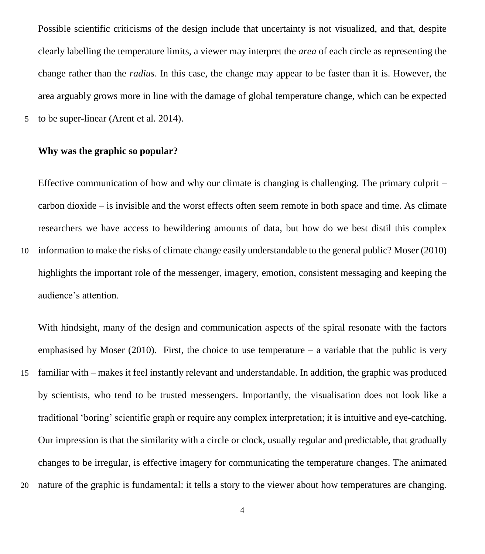Possible scientific criticisms of the design include that uncertainty is not visualized, and that, despite clearly labelling the temperature limits, a viewer may interpret the *area* of each circle as representing the change rather than the *radius*. In this case, the change may appear to be faster than it is. However, the area arguably grows more in line with the damage of global temperature change, which can be expected

5 to be super-linear (Arent et al. 2014).

#### **Why was the graphic so popular?**

Effective communication of how and why our climate is changing is challenging. The primary culprit – carbon dioxide – is invisible and the worst effects often seem remote in both space and time. As climate researchers we have access to bewildering amounts of data, but how do we best distil this complex

10 information to make the risks of climate change easily understandable to the general public? Moser (2010) highlights the important role of the messenger, imagery, emotion, consistent messaging and keeping the audience's attention.

With hindsight, many of the design and communication aspects of the spiral resonate with the factors emphasised by Moser (2010). First, the choice to use temperature  $-$  a variable that the public is very

- 15 familiar with makes it feel instantly relevant and understandable. In addition, the graphic was produced by scientists, who tend to be trusted messengers. Importantly, the visualisation does not look like a traditional 'boring' scientific graph or require any complex interpretation; it is intuitive and eye-catching. Our impression is that the similarity with a circle or clock, usually regular and predictable, that gradually changes to be irregular, is effective imagery for communicating the temperature changes. The animated
- 20 nature of the graphic is fundamental: it tells a story to the viewer about how temperatures are changing.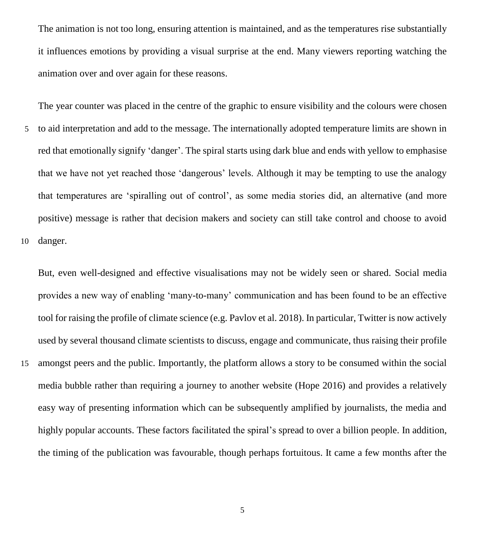The animation is not too long, ensuring attention is maintained, and as the temperatures rise substantially it influences emotions by providing a visual surprise at the end. Many viewers reporting watching the animation over and over again for these reasons.

The year counter was placed in the centre of the graphic to ensure visibility and the colours were chosen 5 to aid interpretation and add to the message. The internationally adopted temperature limits are shown in red that emotionally signify 'danger'. The spiral starts using dark blue and ends with yellow to emphasise that we have not yet reached those 'dangerous' levels. Although it may be tempting to use the analogy that temperatures are 'spiralling out of control', as some media stories did, an alternative (and more positive) message is rather that decision makers and society can still take control and choose to avoid 10 danger.

But, even well-designed and effective visualisations may not be widely seen or shared. Social media provides a new way of enabling 'many-to-many' communication and has been found to be an effective tool for raising the profile of climate science (e.g. Pavlov et al. 2018). In particular, Twitter is now actively used by several thousand climate scientists to discuss, engage and communicate, thus raising their profile 15 amongst peers and the public. Importantly, the platform allows a story to be consumed within the social media bubble rather than requiring a journey to another website (Hope 2016) and provides a relatively easy way of presenting information which can be subsequently amplified by journalists, the media and highly popular accounts. These factors facilitated the spiral's spread to over a billion people. In addition, the timing of the publication was favourable, though perhaps fortuitous. It came a few months after the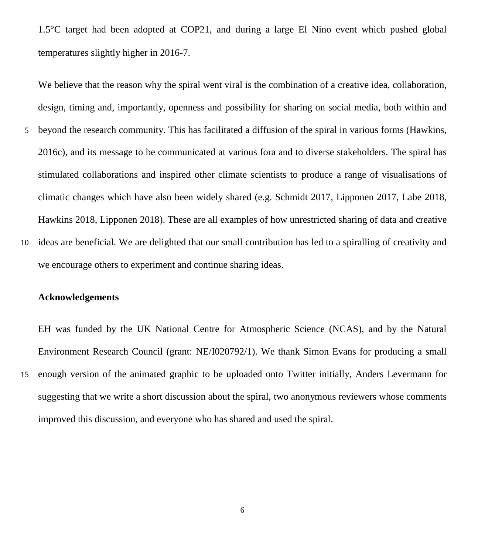1.5C target had been adopted at COP21, and during a large El Nino event which pushed global temperatures slightly higher in 2016-7.

We believe that the reason why the spiral went viral is the combination of a creative idea, collaboration, design, timing and, importantly, openness and possibility for sharing on social media, both within and

- 5 beyond the research community. This has facilitated a diffusion of the spiral in various forms (Hawkins, 2016c), and its message to be communicated at various fora and to diverse stakeholders. The spiral has stimulated collaborations and inspired other climate scientists to produce a range of visualisations of climatic changes which have also been widely shared (e.g. Schmidt 2017, Lipponen 2017, Labe 2018, Hawkins 2018, Lipponen 2018). These are all examples of how unrestricted sharing of data and creative
- 10 ideas are beneficial. We are delighted that our small contribution has led to a spiralling of creativity and we encourage others to experiment and continue sharing ideas.

#### **Acknowledgements**

EH was funded by the UK National Centre for Atmospheric Science (NCAS), and by the Natural Environment Research Council (grant: NE/I020792/1). We thank Simon Evans for producing a small

15 enough version of the animated graphic to be uploaded onto Twitter initially, Anders Levermann for suggesting that we write a short discussion about the spiral, two anonymous reviewers whose comments improved this discussion, and everyone who has shared and used the spiral.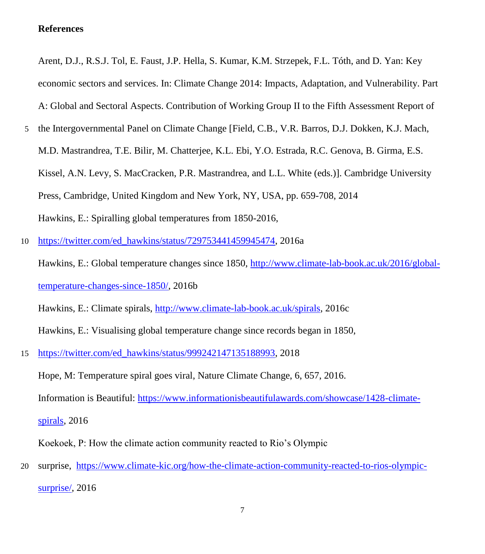#### **References**

Arent, D.J., R.S.J. Tol, E. Faust, J.P. Hella, S. Kumar, K.M. Strzepek, F.L. Tóth, and D. Yan: Key economic sectors and services. In: Climate Change 2014: Impacts, Adaptation, and Vulnerability. Part A: Global and Sectoral Aspects. Contribution of Working Group II to the Fifth Assessment Report of

- 5 the Intergovernmental Panel on Climate Change [Field, C.B., V.R. Barros, D.J. Dokken, K.J. Mach, M.D. Mastrandrea, T.E. Bilir, M. Chatterjee, K.L. Ebi, Y.O. Estrada, R.C. Genova, B. Girma, E.S. Kissel, A.N. Levy, S. MacCracken, P.R. Mastrandrea, and L.L. White (eds.)]. Cambridge University Press, Cambridge, United Kingdom and New York, NY, USA, pp. 659-708, 2014 Hawkins, E.: Spiralling global temperatures from 1850-2016,
- 10 [https://twitter.com/ed\\_hawkins/status/729753441459945474,](https://twitter.com/ed_hawkins/status/729753441459945474) 2016a

Hawkins, E.: Global temperature changes since 1850, [http://www.climate-lab-book.ac.uk/2016/global](http://www.climate-lab-book.ac.uk/2016/global-temperature-changes-since-1850/)[temperature-changes-since-1850/,](http://www.climate-lab-book.ac.uk/2016/global-temperature-changes-since-1850/) 2016b

Hawkins, E.: Climate spirals, [http://www.climate-lab-book.ac.uk/spirals,](http://www.climate-lab-book.ac.uk/spirals) 2016c

Hawkins, E.: Visualising global temperature change since records began in 1850,

15 [https://twitter.com/ed\\_hawkins/status/999242147135188993,](https://twitter.com/ed_hawkins/status/999242147135188993) 2018

Hope, M: Temperature spiral goes viral, Nature Climate Change, 6, 657, 2016.

Information is Beautiful: [https://www.informationisbeautifulawards.com/showcase/1428-climate-](https://www.informationisbeautifulawards.com/showcase/1428-climate-spirals)

[spirals,](https://www.informationisbeautifulawards.com/showcase/1428-climate-spirals) 2016

Koekoek, P: How the climate action community reacted to Rio's Olympic

20 surprise, [https://www.climate-kic.org/how-the-climate-action-community-reacted-to-rios-olympic](https://www.climate-kic.org/how-the-climate-action-community-reacted-to-rios-olympic-surprise/)surprise/<sub>, 2016</sub>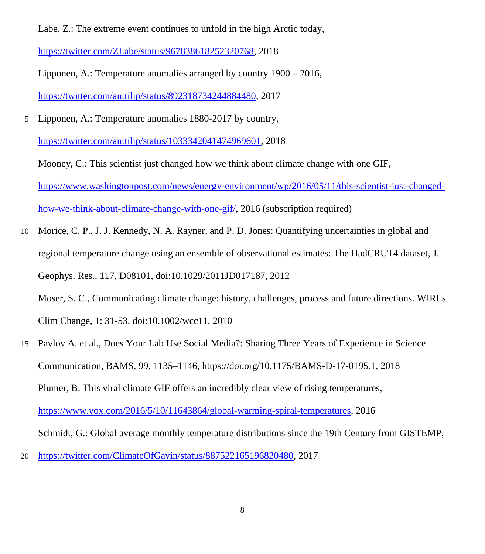Labe, Z.: The extreme event continues to unfold in the high Arctic today,

[https://twitter.com/ZLabe/status/967838618252320768,](https://twitter.com/ZLabe/status/967838618252320768) 2018

Lipponen, A.: Temperature anomalies arranged by country 1900 – 2016, [https://twitter.com/anttilip/status/892318734244884480,](https://twitter.com/anttilip/status/892318734244884480) 2017

5 Lipponen, A.: Temperature anomalies 1880-2017 by country,

[https://twitter.com/anttilip/status/1033342041474969601,](https://twitter.com/anttilip/status/1033342041474969601) 2018

Mooney, C.: This scientist just changed how we think about climate change with one GIF, [https://www.washingtonpost.com/news/energy-environment/wp/2016/05/11/this-scientist-just-changed](https://www.washingtonpost.com/news/energy-environment/wp/2016/05/11/this-scientist-just-changed-how-we-think-about-climate-change-with-one-gif/)[how-we-think-about-climate-change-with-one-gif/,](https://www.washingtonpost.com/news/energy-environment/wp/2016/05/11/this-scientist-just-changed-how-we-think-about-climate-change-with-one-gif/) 2016 (subscription required)

10 Morice, C. P., J. J. Kennedy, N. A. Rayner, and P. D. Jones: Quantifying uncertainties in global and regional temperature change using an ensemble of observational estimates: The HadCRUT4 dataset, J. Geophys. Res., 117, D08101, doi:10.1029/2011JD017187, 2012 Moser, S. C., Communicating climate change: history, challenges, process and future directions. WIREs

Clim Change, 1: 31-53. doi:10.1002/wcc11, 2010

- 15 Pavlov A. et al., Does Your Lab Use Social Media?: Sharing Three Years of Experience in Science Communication, BAMS, 99, 1135–1146, https://doi.org/10.1175/BAMS-D-17-0195.1, 2018 Plumer, B: This viral climate GIF offers an incredibly clear view of rising temperatures, [https://www.vox.com/2016/5/10/11643864/global-warming-spiral-temperatures,](https://www.vox.com/2016/5/10/11643864/global-warming-spiral-temperatures) 2016 Schmidt, G.: Global average monthly temperature distributions since the 19th Century from GISTEMP,
- 20 [https://twitter.com/ClimateOfGavin/status/887522165196820480,](https://twitter.com/ClimateOfGavin/status/887522165196820480) 2017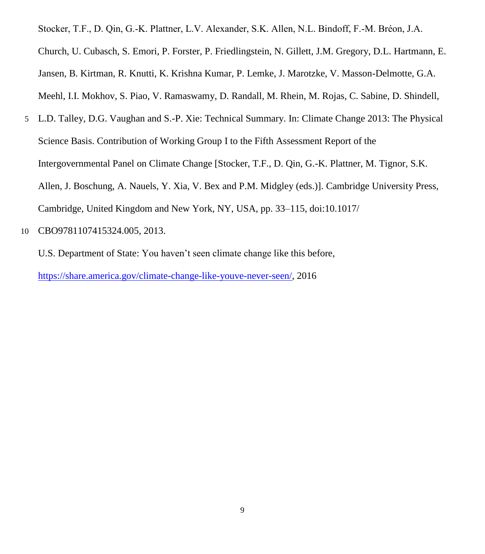Stocker, T.F., D. Qin, G.-K. Plattner, L.V. Alexander, S.K. Allen, N.L. Bindoff, F.-M. Bréon, J.A. Church, U. Cubasch, S. Emori, P. Forster, P. Friedlingstein, N. Gillett, J.M. Gregory, D.L. Hartmann, E. Jansen, B. Kirtman, R. Knutti, K. Krishna Kumar, P. Lemke, J. Marotzke, V. Masson-Delmotte, G.A. Meehl, I.I. Mokhov, S. Piao, V. Ramaswamy, D. Randall, M. Rhein, M. Rojas, C. Sabine, D. Shindell,

- 5 L.D. Talley, D.G. Vaughan and S.-P. Xie: Technical Summary. In: Climate Change 2013: The Physical Science Basis. Contribution of Working Group I to the Fifth Assessment Report of the Intergovernmental Panel on Climate Change [Stocker, T.F., D. Qin, G.-K. Plattner, M. Tignor, S.K. Allen, J. Boschung, A. Nauels, Y. Xia, V. Bex and P.M. Midgley (eds.)]. Cambridge University Press, Cambridge, United Kingdom and New York, NY, USA, pp. 33–115, doi:10.1017/
- 10 CBO9781107415324.005, 2013.

U.S. Department of State: You haven't seen climate change like this before, [https://share.america.gov/climate-change-like-youve-never-seen/,](https://share.america.gov/climate-change-like-youve-never-seen/) 2016